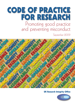# **CODE OF PRACTICE FOR RESEARCH** Promoting good practice and preventing misconduct

September 2009



# **UK Research Integrity Office**

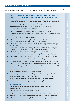The Checklist lists the key points of good practice in research for a research project and is applicable to all subject areas. More detailed guidance can be found in section 3. A PDF version is available from www.ukrio.org

Before conducting your research, and bearing in mind that, subject to legal and ethical requirements, roles and contributions may change during the time span of the research:

- 1 Does the proposed research address pertinent question(s) and is it designed either to add to existing knowledge about the subject in question or to develop methods for research into it?
- 2 Is your research design appropriate for the question(s) being asked?
- 3 Will you have access to all necessary skills and resources to conduct the research?
- 4 Have you conducted a risk assessment to determine:
	- a whether there are any ethical issues and whether ethics review is required;
	- b the potential for risks to the organisation, the research, or the health, safety and well-being of researchers and research participants; and
	- c what legal requirements govern the research?
- 5 Will your research comply with all legal and ethical requirements and other applicable guidelines, including those from other organisations and/or countries if relevant?
- 6 Will your research comply with all requirements of legislation and good practice relating to health and safety?
- 7 Has your research undergone any necessary ethics review (see 4(a) above), especially if it involves animals, human participants, human material or personal data?
- 8 Will your research comply with any monitoring and audit requirements?
- 9 Are you in compliance with any contracts and financial guidelines relating to the project?
- 10 Have you reached an agreement relating to intellectual property, publication and authorship?
- 11 Have you reached an agreement relating to collaborative working, if applicable?
- 12 Have you agreed the roles of researchers and responsibilities for management and supervision?
- 13 Have all conflicts of interest relating to your research been identified, declared and addressed?
- 14 Are you aware of the guidance from all applicable organisations on misconduct in research?

### When conducting your research:

- 1 Are you following the agreed research design for the project?
- 2 Have any changes to the agreed research design been reviewed and approved if applicable?
- 3 Are you following best practice for the collection, storage and management of data?
- 4 Are agreed roles and responsibilities for management and supervision being fulfilled?
- 5 Is your research complying with any monitoring and audit requirements?

### When finishing your research:

- 1 Will your research and its findings be reported accurately, honestly and within a reasonable time frame?
- 2 Will all contributions to the research be acknowledged?
- 3 Are agreements relating to intellectual property, publication and authorship being complied with?
- 4 Will research data be retained in a secure and accessible form and for the required duration?
- 5 Will your research comply with all legal, ethical and contractual requirements?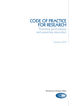# **CODE OF PRACTICE FOR RESEARCH**

Promoting good practice and preventing misconduct

September 2009

**UK Research Integrity Office**

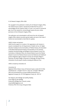### © UK Research Integrity Office 2009

The copyright for this publication is held by the UK Research Integrity Office. The material may be copied or reproduced provided that the source is acknowledged and the material, wholly or in part, is not used for commercial gain. Use of the material for commercial gain requires the prior written permission of the UK Research Integrity Office.

This publication can be downloaded in pdf format from the UK Research Integrity Office website www.ukrio.org and readers and users of the Code of Practice are recommended to check there for updates.

### UKRIO's funders and partners:

UKRIO has the support of a number of UK organisations with interests in research, including the four UK Departments of Health, the four UK Higher Education Funding Councils, the Academy of Medical Sciences, the Association of the British Pharmaceutical Industry, the Association of UK University Hospitals, the Biotechnology and Biological Sciences Research Council, the Committee on Publication Ethics, the General Medical Council, the Medical Research Council, the Medical Schools Council, the Medicines and Healthcare products Regulatory Agency, Research Councils UK, the Royal College of Physicians, the Royal College of Physicians of Edinburgh, the Royal Society, Universities UK and research charities including the Wellcome Trust.

UKRIO is hosted by Universities UK.

### Universities UK

Registered Office: Woburn House, 20 Tavistock Square, London WC1H 9HQ Switchboard tel + 44 (0)20 7419 4111 direct fax +44 (0)20 7388 6256 Web www.UniversitiesUK.ac.uk Email info@UniversitiesUK.ac.uk Registered Company No. 2517018 Registered Charity No. 1001127

Text design by John Aldridge and Geoffrey Wadsley Cover design by John Aldridge Produced by Aldridge Press, Chiswick, London enquiries@aldridgepress.co.uk Printed by MWL Print Group, Pontypool, Wales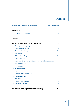# *Contents*

|     | Recommended checklist for researchers<br>inside front cover            |  |
|-----|------------------------------------------------------------------------|--|
|     | Introduction                                                           |  |
|     | 1.12 Footnote to the first edition                                     |  |
|     | <b>Principles</b>                                                      |  |
|     | Standards for organisations and researchers                            |  |
| 3.1 | General guidance on good practice in research                          |  |
| 3.2 | Leadership and supervision                                             |  |
| 3.3 | Training and mentoring                                                 |  |
| 3.3 | Research design                                                        |  |
| 3.5 | Collaborative working                                                  |  |
| 3.6 | Conflicts of interest                                                  |  |
| 3.7 | Research involving human participants, human material or personal data |  |
| 3.8 | Research involving animals                                             |  |
| 3.9 | Health and safety                                                      |  |
|     | 3.10 Intellectual property                                             |  |
|     | 3.11 Finance                                                           |  |
|     | 3.12 Collection and retention of data                                  |  |
|     | 3.13 Monitoring and audit                                              |  |
|     | 3.14 Peer review                                                       |  |
|     | 3.15 Publication and authorship                                        |  |
|     | 3.16 Misconduct in research                                            |  |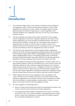

- 1.1 The UK Research Integrity Office's Code of Practice for Research has been designed to encourage good conduct in research and help prevent misconduct, in order to assist organisations and researchers to conduct research of the highest quality. It provides general principles and standards for good practice in research, applicable to both individual researchers and to organisations that carry out, fund, host or are otherwise involved in research.
- 1.2 The Code is applicable to all subject areas and does not attempt to micro-manage research. Recognising that many forms of guidance already exist, the intention is that research organisations may use the principles and standards outlined in this Code as benchmarks when drafting or revising their own, more detailed, codes of practice. No single publication can expect to cover the nuances of all types of research in all disciplines; therefore, the Code should not be seen as prescriptive but as a set of guiding principles and standards to inform the management and conduct of research.
- 1.3 The Code covers areas of good practice in research typically included in organisational policies for the conduct of research, drawing upon existing good practice and the experiences of the UK Research Integrity Office (UKRIO) in addressing good conduct and misconduct in research. Detailed guidance is given on core standards for good practice in research but particular attention has been paid to areas where UKRIO has most often been approached for guidance, in the hope of passing on lessons learned to the research community.
- 1.4 The Code complements existing and forthcoming guidance on research conduct, such as that provided by Research Councils UK, the Wellcome Trust or the Council for Science and Technology. Similarly, the Code complements organisational policies, such as those for health and safety, raising concerns at work, or management of finances or of intellectual property, and does not seek to replace them. Use of the benchmarks contained in this Code can assist research organisations in fulfilling the requirements of regulatory, funding and other relevant bodies, and ensure that important issues have not been overlooked.
- 1.5 UKRIO recognises that there are many organisations which issue guidance on the conduct of research to the UK research community. For some time, UKRIO has been working with organisations such as Research Councils UK and the Department of Health, with a view ultimately to streamline guidance on good practice in research, to ensure clarity for the research community and avoid duplication of effort.
- 1.6 The Code is organised in the following Sections:
	- a) Section 2 contains broad Principles which define the responsibilities and values in the conduct of research by both researchers and research organisations.
	- b) A one-page Recommended Checklist for Researchers can be found on the inside of the front cover. This is a non-technical checklist summarising the key points of good practice in research and is applicable to all subject areas. The Checklist is based on the more detailed Standards given in section 3.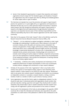- c) Section 3 lists Standards for good practice in research that researchers and research organisations should comply with. The Standards apply to all disciplines of research but organisations may wish to expand upon them by offering more detailed guidance for certain subject areas or types of research.
- 1.7 The Code does not stipulate how to put the promotion and support of good research practice into operation as it is quite rightly left up to organisations and researchers to determine the best way to do so in their particular research environment. It should be noted, however, that only through the endorsement and support of good practice in research at the highest level and implementation through education, training and supervision, can researchers become aware of their individual responsibilities and the collective responsibility they have to their research organisation and the wider research community.
- 1.8 Note that, for the purposes of this Code,"research" refers to the definition used by the Research Assessment Exercise (Research Assessment Exercise 2008, p. 34):
	- a) "'Research'… is to be understood as original investigation undertaken in order to gain knowledge and understanding. It includes work of direct relevance to the needs of commerce, industry, and to the public and voluntary sectors; scholarship\*; the invention and generation of ideas, images, performances, artefacts including design, where these lead to new or substantially improved insights; and the use of existing knowledge in experimental development to produce new or substantially improved materials, devices, products and processes, including design and construction. It excludes routine testing and routine analysis of materials, components and processes such as for the maintenance of national standards, as distinct from the development of new analytical techniques. It also excludes the development of teaching materials that do not embody original research."
	- b) "\* Scholarship… is defined as the creation, development and maintenance of the intellectual infrastructure of subjects and disciplines, in forms such as dictionaries, scholarly editions, catalogues and contributions to major research databases."
- 1.9 Similarly, for the purposes of this Code,"organisations" refers to any bodies which: conduct, host, sponsor or fund research; employ, support or host researchers; teach research students; or allow research to be carried out under their auspices."Researchers" refers to any person who conducts research, including but not limited to: as an employee; an independent contractor or consultant; a research student; a visiting or emeritus member of staff; or a member of staff on a joint clinical or honorary contract.
- 1.10 Some organisations may wish the Code to apply to undergraduate students; if so, this should be made clear in institutional policies and organisations should consider what particular education, training, supervision and support they should provide to student researchers. They should make it clear to student researchers that their research must comply with the organisation's policies and procedures for the conduct of research.
- 1.11 Sources used in the development of the Code are acknowledged in the appendix. UKRIO would also like to thank the individuals and institutions who responded to the public consultation on a draft version of the publication in 2009 for their contributions to the Code.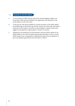# 1.12 Footnote to the first edition Footnote to the first edition

- a) It is the intention of UKRIO that the Code will be reviewed regularly, initially on an annual basis. UKRIO welcomes feedback from organisations and researchers on the current edition, to inform the review.
- b) To that end, the Code will be published as an online document on the UKRIO website (www.UKRIO.org), as well as hard copy and PDF versions. This online Code will include a mechanism for the research community to submit feedback on specific sections and suggest new developments in good practice in research for inclusion.
- c) Organisations and researchers are recommended to check the UKRIO website for the annual updates to the Code. The website also provides information on how to contact UKRIO to gain access to independent, confidential and expert advice and guidance on any issues relating to good practice and misconduct in research.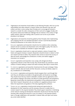

- 2.0.1 Organisations and researchers should adhere to the following Principles, which set out the responsibilities and values relevant to research. While some elements may seem selfevident, and there is some overlap, these Principles aim to encourage all involved in research to consider the wider consequences of their work and to engage critically with the practical, ethical and intellectual challenges that are inherent in the conduct of high quality research, rather than treating codes of practice such as this as just another procedure to be followed.
- 2.0.2 Organisations and researchers should be guided by these Principles when implementing and complying with the core Standards described in section 3 and the *Recommended Checklist for Researchers* on the inside of the front cover.
- 2.1 EXCELLENCE: *organisations and researchers* should strive for excellence when conducting research and aim to produce and disseminate work of the highest quality. This Code, its Principles and its Standards are intended to support these goals.
- 2.2 HONESTY: *organisations* should work to create and maintain a culture of research that fosters and supports honesty in research. *Researchers* should be honest in relation to their own research and that of others. They should do their utmost to ensure the accuracy of data and results, acknowledge the contributions of others, and neither engage in misconduct nor conceal it.
- 2.3 INTEGRITY: *organisations and researchers* must comply with all legal and ethical requirements relevant to their field of study. They should declare any potential or actual conflicts of interest relating to research and where necessary take steps to resolve them.
- 2.4 CO-OPERATION: *organisations and researchers* should promote the open exchange of ideas, research methods, data and results and their discussion, scrutiny and debate, subject to any considerations of confidentiality.
- 2.5 ACCOUNTABILITY: *organisations and researchers* should recognise that in and through their work they are ultimately accountable to the general public and should act accordingly. They should ensure that any research undertaken complies with any agreements, terms and conditions relating to the project, and allows for proper governance and transparency. *Researchers* should follow the requirements and guidance of any professional bodies in their field of research. Researchers who are members of a regulated profession must follow the requirements and guidance of the body regulating their profession.
- 2.6 TRAINING AND SKILLS: *organisations* should provide training and opportunities for development for their researchers, and the necessary resources to enable them to conduct research to the required standards. They should support researchers in identifying unmet needs for training and development. *Researchers* should ensure that they have the necessary skills, training and resources to carry out research, in the proposed research team or through collaboration with specialists in relevant fields, and report and resolve any unmet needs identified.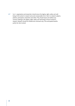2.7 SAFETY: *organisations and researchers* should ensure the dignity, rights, safety and wellbeing of all involved in research and avoid unreasonable risk or harm to research subjects, patients, participants, researchers and others. They should report and address any concerns relating to the dignity, rights, safety and well-being of those involved in research. Research should be initiated and continued only if the anticipated benefits justify the risks involved.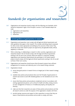# *Standards for organisations and resea* **3** *rchers*

- 3.0.1 Organisations and researchers should comply with the following core Standards, which should be interpreted in light of the Principles in section 2. Each Standard adopts the order:
	- a) organisations and researchers;
	- b) organisations; and
	- c) researchers.

### 3.1 General guidance on good practice in research

- 3.1.1 *Organisations and researchers* must comply with all legal and ethical requirements and other guidelines that apply to their research. This includes submitting research proposals for ethics review where appropriate and abiding by the outcome of that review. They should also ensure that research projects are approved by all applicable bodies, ethical, regulatory or otherwise.
- 3.1.2 When conducting, or collaborating in, research in other countries, organisations and researchers based in the UK should comply with the legal and ethical requirements existing in the UK and in the countries where the research is conducted. Similarly, organisations and researchers based abroad who participate in UK-hosted research projects should comply with the legal and ethical requirements existing in the UK as well as those of their own country.
- 3.1.3 Organisations and researchers should ensure that all research projects have sufficient arrangements for insurance and indemnity prior to the research being conducted.
- 3.1.4 *Organisations* should:
	- a) ensure that good practice in research forms an integral part of their research strategy or policy;
	- b) establish clear policies and procedures that cover the Principles of good practice in research (see section 2) and offer detailed guidance on the Standards set out in this Code;
	- c) ensure that these policies and procedures complement and are in accordance with existing organisational policies, such as those for health and safety, raising concerns at work, management of finances or of intellectual property, and equality and diversity;
	- d) make sure that their researchers are aware of these policies and procedures and that all research carried out under the auspices of the organisation complies with them;
	- e) provide training, resources and support to their researchers to ensure that they are aware of these policies and procedures and are able to comply with them;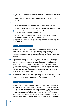- f) encourage their researchers to consider good practice in research as a routine part of their work; and
- $g$ ) monitor these measures for suitability and effectiveness and review them where necessary.
- 3.1.5 *Researchers* should:
	- a) recognise their responsibility to conduct research of high ethical standards;
	- b) be aware of their organisation's policies and procedures on good practice in research;
	- c) make sure that their research complies with these policies and procedures, and seek guidance from their organisation when necessary;
	- d) work with their organisation to ensure that they have the necessary training, resources and support to carry out their research; and
	- e) suggest to their organisation how guidance on good practice in research might be developed or revised.

### 3.2 Leadership and supervision

- 3.2.1 *Organisations and researchers* should promote and maintain an environment which fosters and supports research of high ethical standards, mutual co-operation, professionalism and the open and honest exchange of ideas. They should foster a culture where good conduct in research is promoted and inappropriate conduct is identified and addressed.
- 3.2.2 *Organisations* should provide direction and supervision of research and researchers, setting out clear lines of accountability for the organisation and management of research. They should support supervisors and researchers in meeting the legal and ethical requirements of conducting research. Organisations should encourage the career development of their researchers and provide training and mentoring of new researchers. They should also offer training and support to those charged with the supervision and development of other researchers. Organisations should support the principles of the *Concordat to Support the Career Development of Researchers*.
- 3.2.3 *Researchers* involved in the supervision and development of other researchers should be aware of their responsibilities and ensure that they have the necessary training, time and resources to carry out that role, and request support if required.

# 3.3 Training and mentoring Training and mentoring

3.3.1 *Organisations* should provide training for researchers to enable them to carry out their duties and develop their knowledge and skills throughout their career. This should include training in the responsible design, conduct and dissemination of research. They should support researchers in identifying unmet needs for training and development. Organisations should provide qualified mentors to assist in the training and career development of new researchers and also provide career development and educational opportunities for researchers who are more established in their careers. As in 3.2.2, they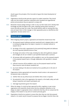should support the principles of the *Concordat to Support the Career Development of Researchers*.

- 3.3.2 Organisations should provide particular support for student researchers. They should make sure that student researchers understand which standards and organisational policies and procedures they are expected to comply with.
- 3.3.3 *Researchers* should undergo training in order to carry out their duties and to develop their knowledge and skills throughout their career, repeating training where necessary to ensure that skills are kept up-to-date. They should identify needs for training when they arise and report them to their manager or other appropriate person as identified by their organisation. See also section 3.2.3.

# 3.4 Research design Research design

- 3.4.1 When designing research projects, *organisations and researchers* should ensure that:
	- a) the proposed research addresses pertinent question(s) and is designed either to add to existing knowledge about the subject in question or to develop methods for research into it;
	- b) the design of the study is appropriate for the question(s) being asked and addresses the most important potential sources of bias;
	- $c)$  the design and conduct of the study, including how data will be gathered, analysed and managed, are set out in detail in a pre-specified research plan or protocol;
	- d) all necessary skills and experience will be available to carry out the proposed research, in the proposed research team or through collaboration with specialists in relevant fields;
	- e) sufficient resources will be available to carry out the proposed research and that these resources meet all relevant standards; and
	- f) any issues relating to the above are resolved as far as possible prior to the start of the research.
- 3.4.2 Organisations (where appropriate) and researchers should conduct a risk assessment of the planned study to determine:
	- a) whether there are any ethical issues and whether ethics review is required;
	- b) the potential for risks to the organisation, the research, or the health, safety and wellbeing of researchers and research participants; and
	- c) what legal requirements govern the research.
- 3.4.3 Where the design of a study has been approved by ethics, regulatory or peer review, organisations and researchers should ensure that any subsequent alterations to the design are subject to appropriate review to determine that they will not compromise the integrity of the research or any terms of consent previously given.
- 3.4.4 *Organisations* should set up systems to ensure that when there are risks that proposed research or its results may be misused for purposes that are illegal or harmful, those risks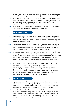are identified and addressed. They should make these systems known to researchers and provide guidance and support to researchers on projects where such risks are identified.

- 3.4.5 *Researchers* should try to anticipate any risks that the proposed research might produce results that could be misused for purposes that are illegal or harmful. Researchers should report any risks to, and seek guidance from, the appropriate person(s) in their organisation and take action to minimise those risks.
- 3.4.6 Researchers should be prepared to make research designs available to peer reviewers and journal editors when submitting research reports for publication.

# 3.5 Collaborative working Collaborative working

- 3.5.1 *Organisations and researchers* should pay particular attention to projects which include participants from different countries or where work will be carried out in another country due to the additional legal and ethical requirements and other guidelines that may apply. See also sections 3.1.2, 3.7.2 and 3.8.2 .
- 3.5.2 *Organisations* should work with partner organisations to ensure the agreement of, and compliance with, common standards and procedures for the conduct of collaborative research, including the resolution of any issues or problems that might arise and the investigation of any allegations of misconduct in research if they occur.
- 3.5.3 *Researchers* should be aware of the standards and procedures for the conduct of research followed by any organisations involved in collaborative research that they are undertaking. They should also be aware of any contractual requirements involving partner organisations, seeking guidance and assistance where necessary and reporting any concerns or irregularities to the appropriate person(s) as soon as they become aware of them.
- 3.5.4 Researchers should try to anticipate any issues that might arise as a result of working collaboratively and agree jointly in advance how they might be addressed, communicating any decisions to all members of the research team. In particular, agreement should be sought on the specific roles of the researchers involved in the project and on issues relating to intellectual property, publication, and the attribution of authorship, recognising that, subject to legal and ethical requirements, roles and contributions may change during the time span of the research.

### 3.6 Conflicts of interest

- 3.6.1 *Organisations and researchers* must recognise that conflicts of interest (i.e. personal or institutional considerations, including but not limited to financial matters) can inappropriately affect research. Conflicts of interest must be identified, declared and addressed in order to avoid poor practice in research or potential misconduct.
- 3.6.2 When addressing a conflict of interest, it must be decided whether it is of a type and severity that poses a risk of fatally compromising the validity or integrity of the research, in which case researchers and organisations should not proceed with the research, or whether it can be adequately addressed through declarations and/or special safeguards relating to the conduct and reporting of the research.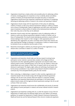- 3.6.3 *Organisations* should have a clearly-written and accessible policy for addressing conflicts of interest, including guidance for researchers on how to identify, declare and address conflicts of interest, and should disseminate and explain the policy to researchers. Organisations should ensure that researchers understand the importance of recognising, disclosing and addressing conflicts of interest in the conduct and reporting of research.
- 3.6.4 Organisations should comply with the requirements of their policy for addressing conflicts of interest, as well as any external requirements relating to conflicts of interest, such as those of funding bodies. Heads of organisations and other senior staff should be aware of potential or actual conflicts of interest at the institutional level and disclose them when they arise so that they can be addressed.
- 3.6.5 *Researchers* should comply with their organisation's policy for addressing conflicts of interest, as well as any external requirements relating to conflicts of interest, such as those of funding bodies. This should include declaring any potential or actual conflicts of interest relating to their research to: their manager or other appropriate person as identified by their organisation; any ethics committee which reviews their research; and when reporting their findings at meetings or in publications. Conflicts of interest should be disclosed as soon as researchers become aware of them.
- 3.6.6 Researchers should agree to abide by any direction given by their organisation or any relevant ethics committee in relation to a conflict of interest.

## 3.7 Research involving human participants, human material or personal data

- 3.7.1 *Organisations and researchers* should make sure that any research involving human participants, human material or personal data complies with all legal and ethical requirements and other applicable guidelines. Appropriate care should be taken when research projects involve: vulnerable groups, such as the very old, children or those with mental illness; and covert studies or other forms of research which do not involve full disclosure to participants. The dignity, rights, safety and well-being of participants must be the primary consideration in any research study. Research should be initiated and continued only if the anticipated benefits justify the risks involved.
- 3.7.2 When conducting, or collaborating in, research in other countries, organisations and researchers based in the UK should comply with the legal and ethical requirements existing in the UK and in the countries where the research is conducted. Similarly, organisations and researchers based abroad who participate in UK-hosted research projects should comply with the legal and ethical requirements existing in the UK as well as those of their own country.
- 3.7.3 Organisations and researchers should ensure the confidentiality and security of: personal data relating to human participants in research; and human material involved in research projects.
- 3.7.4 Organisations and researchers working with, for, or under the auspices of, any of the UK Departments of Health and/or the National Health Service must adhere to all relevant guidelines, for example the Department of Health's *Research Governance Framework for Health and Social Care* and the National Research Ethics Service's *Guidance for Applicants*.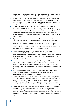Organisations and researchers involved in clinical trials on medicinal products for human use should comply with the principles of Good Clinical (Research) Practice.

- 3.7.5 *Organisations* should set up systems to ensure appropriate ethical, regulatory and peer review of research projects involving human participants, human material or personal data. The systems should include mechanisms to ensure that such research projects have been approved by all applicable bodies, ethical, regulatory or otherwise.
- 3.7.6 Organisations should also set up systems to ensure that appropriate procedures for obtaining informed consent are established and observed in projects involving human participants, having particular regard to the needs and capacity of the subjects involved.
- 3.7.7 Organisations should set up systems to ensure the confidentiality and security of: personal data relating to human participants in research; and human material involved in research projects.
- 3.7.8 Organisations should make sure that their researchers are aware of all of the above systems and have access to all relevant guidance and legal and ethical frameworks.
- 3.7.9 *Researchers* should submit research projects involving human participants, human material or personal data for review by all relevant ethics committees and abide by the outcome of those reviews. They should also ensure that such research projects have been approved by all applicable bodies, ethical, regulatory or otherwise.
- 3.7.10 Researchers on projects involving human subjects must satisfy themselves that participants are enabled, by the provision of adequate accurate information in an appropriate form through suitable procedures, to give informed consent, having particular regard to the needs and capacities of vulnerable groups, such as the very old, children and those with mental illness.
- 3.7.11 Researchers should inform research participants that data gathered during the course of research may be disseminated not only in a report but also in different forms for academic or other subsequent publications and meetings, albeit not in an identifiable form, unless previously agreed to, and subject to limitations imposed by legislation or any applicable bodies, ethical, regulatory or otherwise.
- 3.7.12 Researchers who are members of a regulated profession must ensure that research involving human participants, human material or personal data complies with any standards set by the body regulating their profession.
- 3.7.13 Researchers have a duty to publish the findings of all clinical research involving human participants. In addition, it is government policy to promote public access to information about any research and research findings affecting health and social care, including the principle that trials should appear on public registers. In this context "trials" means all comparative studies of health interventions, not just ones conducted in a clinical setting.
- 3.7.14 If researchers consider that human participants in research are subject to unreasonable risk or harm, they must report their concerns to their manager, or other appropriate person as identified by their organisation, and, where required, to the appropriate regulatory authority. Similarly, concerns relating to the improper and/or unlicensed use or storage of human material, or the improper use or storage of personal data, should be reported.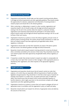### 3.8 Research involving animals

- 3.8.1 *Organisations and researchers* should make sure that research involving animals adheres to all legal and ethical requirements and other applicable guidelines. They should consider the opportunities for reduction, replacement and refinement of involving animals in research projects and should refer to the relevant guidance.
- 3.8.2 When conducting, or collaborating in, research in other countries, organisations and researchers based in the UK should comply with the legal and ethical requirements existing in the UK and in the countries where the research is conducted. Similarly, organisations and researchers based abroad who participate in UK-hosted research projects should comply with the legal and ethical requirements existing in the UK as well as those of their own country.
- 3.8.3 *Organisations* should set up systems to ensure the ethical, regulatory and peer review of research projects involving animals. The systems should include mechanisms to make sure that such research projects have been approved by all applicable bodies, ethical, regulatory or otherwise.
- 3.8.4 Organisations should make sure that their researchers are aware of the above systems and have access to all relevant guidance and legal and ethical frameworks.
- 3.8.5 *Researchers* should submit research projects involving animals for review by all relevant ethics committees and abide by the outcome of that review. They should also ensure that such research projects have been approved by all applicable bodies, ethical, regulatory or otherwise.
- 3.8.6 If researchers consider that animals involved in research are subject to unreasonable risk or harm, they must report their concerns to their manager or other appropriate person as identified by their organisation, and, where required, to the appropriate regulatory authority.

### 3.9 Health and safety

- 3.9.1 *Organisations and researchers* should ensure that all research carried out under their auspices, or for which they are responsible, fulfils all requirements of health and safety legislation and good practice. They should bear in mind that certain types of research, for example social research in a conflict zone, can present particular issues of health and safety. They should ensure that all research which involves potentially hazardous or harmful material or which might cause harm to the environment complies with all legal requirements and other applicable guidelines.
- 3.9.2 *Organisations* should set up systems to ensure that such research undergoes all forms of appropriate review in accordance with the organisation's policy on health and safety.
- 3.9.3 *Researchers* should submit such research for all forms of appropriate review and abide by the outcome of that review.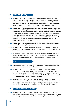### 3.10 Intellectual property

- 3.10.1 *Organisations and researchers* should ensure that any contracts or agreements relating to research include provision for ownership and use of intellectual property. Intellectual property includes, but is not limited to: research data and other findings of research; ideas, processes, software, hardware, apparatus and equipment; substances and materials; and artistic and literary works, including academic and scientific publications.
- 3.10.2 Organisations and researchers should not give prior disclosure of research or the findings of research when this might invalidate any commercial property rights that could result. Organisations and researchers should recognise, however, that the presumption should be that any intellectual property discovered or developed using public or charitable funds should be disseminated in order to have a beneficial effect on society at large. That presumption may be rebutted where there is an express restriction placed on any such dissemination. Any delay in publication and dissemination pending protection of intellectual property should be kept to a minimum.
- 3.10.3 Organisations and researchers should comply with any additional conditions relating to intellectual property required by funding bodies.
- 3.10.4 *Organisations* should clearly state when their standard guidance might not apply; for example, a university would normally waive copyright of articles prepared for publication in journals or books.
- 3.10.5 *Researchers* should try to anticipate any issues that might arise relating to intellectual property at the earliest opportunity and agree jointly in advance how they might be addressed, communicating any decisions to all members of the research team.

### 3.11 Finance

- 3.11.1 *Organisations and researchers* should ensure that the terms and conditions of any grant or contract related to the research are adhered to.
- 3.11.2 *Organisations* should issue guidelines regarding the purchasing or procurement of materials, equipment or other resources for research and the hiring of staff for research projects. These guidelines should include statements on the ownership of resources and the rights of researchers to use them. Organisations should also set up procedures for the monitoring and audit of finances relating to research projects.
- 3.11.3 *Researchers* should comply with organisational guidelines regarding the use and management of finances relating to research projects. They should co-operate with any monitoring and audit of finances relating to research projects and report any concerns or irregularities to the appropriate person(s) as soon as they become aware of them.

### 3.12 Collection and retention of data

3.12.1 *Organisations and researchers* should comply with all legal, ethical, funding body and organisational requirements for the collection, use and storage of data, especially personal data, where particular attention should be paid to the requirements of data protection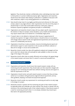legislation. They should also maintain confidentiality where undertakings have been made to third parties or to protect intellectual property rights. Organisations and researchers should ensure that research data relating to publications is available for discussion with other researchers, subject to any existing agreements on confidentiality.

- 3.12.2 Data should be kept intact for any legally specified period and otherwise for three years at least, subject to any legal, ethical or other requirements, from the end of the project. It should be kept in a form that would enable retrieval by a third party, subject to limitations imposed by legislation and general principles of confidentiality.
- 3.12.3 Organisations and researchers should comply with any subject-specific requirements for the retention of data; for example, certain disciplines, such as health and biomedicine, may require research data to be retained for a considerably longer period.
- 3.12.4 If research data is to be deleted or destroyed, either because its agreed period of retention has expired or for legal or ethical reasons, it should be done so in accordance with all legal, ethical, research funder and organisational requirements and with particular concern for confidentiality and security.
- 3.12.5 *Organisations* should have in place procedures, resources (including physical space) and administrative support to assist researchers in the accurate and efficient collection of data and its storage in a secure and accessible form.
- 3.12.6 *Researchers* should consider how data will be gathered, analysed and managed, and how and in what form relevant data will eventually be made available to others, at an early stage of the design of the project.
- 3.12.7 Researchers should collect data accurately, efficiently and according to the agreed design of the research project, and ensure that it is stored in a secure and accessible form.

### 3.13 Monitoring and audit

- 3.13.1 *Organisations and researchers* should ensure that research projects comply with any monitoring and audit requirements. They should make sure that researchers charged with carrying out such monitoring and audits have sufficient training, resources and support to fulfil the requirements of the role.
- 3.13.2 *Organisations* should monitor and audit research projects to ensure that they are being carried out in accordance with good practice, legal and ethical requirements, and any other guidelines, adopting a risk-based and proportional approach.
- 3.13.3 *Researchers* should consider any requirements for monitoring and audit at an early stage in the design of a project.
- 3.13.4 Researchers should co-operate with the monitoring and audit of their research projects by applicable bodies and undertake such when required. They should co-operate with any outcomes of the monitoring and audit of their research projects. If they become aware of a need for monitoring and audit where it is not already scheduled, they should report that need to the appropriate person(s).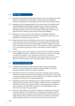### 3.14 Peer review

- 3.14.1 *Organisations and researchers* should be aware that peer review is an important part of good practice in: the publication and dissemination of research and research findings; the assessment of applications for research grants; and in the ethics review of research projects.
- 3.14.2 *Organisations* should encourage researchers to act as peer reviewers for meetings, journals and other publications, grant applications and ethics review of research proposals, and support those who do so. They should recognise the obligations of peer reviewers to be thorough and objective in their work and to maintain confidentiality, and should not put pressure, directly or indirectly, on peer reviewers to breach these obligations.
- 3.14.3 *Researchers* who carry out peer review should do so to the highest standards of thoroughness and objectivity. They should follow the guidelines for peer review of any organisation for which they carry out such work.
- 3.14.4 Researchers should maintain confidentiality and not retain or copy any material under review without the express written permission of the organisation which requested the review. They should not make use of research designs or research findings from a paper under review without the express permission of the author(s) and should not allow others to do so. Researchers acting as peer reviewers must declare any relevant conflicts of interest.
- 3.14.5 While carrying out peer review, researchers may become aware of possible misconduct, such as plagiarism, fabrication or falsification, or have ethical concerns about the design or conduct of the research. In such cases they should inform, in confidence, an appropriate representative of the organisation which requested the review, such as the editor of the relevant journal or chair of the relevant grants or ethics committee.

### 3.15 Publication and authorship

- 3.15.1 *Organisations and researchers* should accept their duty to publish and disseminate research in a manner that reports the research and all the findings of the research accurately and without selection that could be misleading.
- 3.15.2 *Organisations* should ensure that sponsors and funders of research: respect the duty of researchers to publish their research and the findings of their research; do not discourage or suppress appropriate publication or dissemination; and do not attempt to influence the presentation or interpretation of findings inappropriately.
- 3.15.3 Organisations should provide training and support to guide researchers in the publication and dissemination of research and the findings of research that involves: confidential or proprietary information; issues relating to patents or intellectual property; findings with serious implications for public health; contractual or other legal obligations; and/or interest from the media or the general public.
- 3.15.4 *Researchers* should address issues relating to publication and authorship, especially the roles of all collaborators and contributors, at an early stage of the design of a project, recognising that, subject to legal and ethical requirements, roles and contributions may change during the time span of the research. Decisions on publication and authorship should be agreed jointly and communicated to all members of the research team.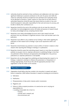- 3.15.5 Authorship should be restricted to those contributors and collaborators who have made a significant intellectual or practical contribution to the work. No person who fulfils the criteria for authorship should be excluded from the submitted work. Authorship should not be allocated to honorary or "guest" authors (i.e. those that do not fulfil criteria of authorship). Researchers should be aware that anyone listed as an author of any work should be prepared to take public responsibility for that work and ensure its accuracy, and be able to identify their contribution to it.
- 3.15.6 Researchers should list the work of all contributors who do not meet the criteria for authorship in an acknowledgements section. All funders and sponsors of research should be clearly acknowledged and any competing interests listed.
- 3.15.7 Researchers must clearly acknowledge all sources used in their research and seek permission from any individuals if a significant amount of their work has been used in the publication.
- 3.15.8 Researchers must adhere to any conditions set by funding or other bodies regarding the publication of their research and its findings in open access repositories within a set period.
- 3.15.9 Researchers should declare any potential or actual conflicts of interest in relation to their research when reporting their findings at meetings or in publications.
- 3.15.10 Researchers should be aware that submitting research reports to more than one potential publisher at any given time (i.e. duplicate submission) or publishing findings in more than one publication without disclosure and appropriate acknowledgement of any previous publications (i.e. duplicate publication) is unacceptable.
- 3.15.11 Researchers who are discouraged from publishing and disseminating their research or its findings, or subjected to attempts to influence the presentation or interpretation of findings inappropriately, should discuss this with the appropriate person(s) in their organisation so that the matter can be resolved.

### 3.16 Misconduct in research

- 3.16.1 *Organisations* should define what they consider to be misconduct in research and make it known to researchers. UKRIO defines misconduct in research as including, but not limited to:
	- a) Fabrication;
	- b) Falsification;
	- c) Misrepresentation of data and/or interests and/or involvement;
	- d) Plagiarism; and
	- e) Failures to follow accepted procedures or to exercise due care in carrying out responsibilities for:
		- i) avoiding unreasonable risk or harm to:
			- **•** humans;
			- **•** animals used in research; and
			- **•** the environment; and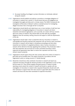- ii) the proper handling of privileged or private information on individuals collected during the research.
- 3.16.2 Organisations should establish and publicise a procedure to investigate allegations of misconduct in research (as in section 3.1.4) and ensure that any such allegations are investigated thoroughly and fairly and in a timely manner. The UKRIO *Procedure for the Investigation of Misconduct in Research* outlines a standard process for investigating alleged misconduct that is thorough and fair to all parties.
- 3.16.3 Organisations should identify and make known one or more members of staff who have responsibility for investigating allegations of misconduct in research and whom researchers and external organisations, such as journals, can contact with any concerns about the conduct of research. They should make sure that staff who investigate allegations have the necessary training, resources and support to fulfil the requirements of the role.
- 3.16.4 Organisations should make it clear to researchers that any misconduct in research is unacceptable and should be reported; that researchers who are found to have committed misconduct in research will be subject to disciplinary proceedings; and that where researchers are members of a regulated profession, cases of serious misconduct in research will be referred to the body regulating their profession. They should also make it clear that researchers who are found not to have committed misconduct will be supported and appropriate steps taken to restore their reputation and that of any relevant research project(s).
- 3.16.5 Organisations should support those who raise concerns about the conduct of research in good faith and *not* penalise them. This support should be in accordance with the organisation's policy on raising concerns or "whistle blowing".
- 3.16.6 *Researchers* should know what constitutes misconduct in research and report any suspected misconduct through the relevant procedure of the organisation as soon as they become aware of it. They should recognise that good practice in research includes reporting concerns about the conduct of research and should co-operate with any investigation of misconduct in research when requested. Researchers should work with their institution to support those who raise concerns in good faith about the conduct of research and those who have been exonerated of suspected misconduct.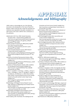**APPENDIX**

# *Acknowledgements and bibliography*

UKRIO wishes to acknowledge the use of the following documents in the development of the Code of Practice for Research. UKRIO would also like to thank the individuals and institutions who responded to the public consultation on a draft version of the Code in 2009 for their contributions to this publication.

- Addenbrooke's NHS Trust, 2008. *Standard Operating Procedure (SOP) - General* [online]. Available from: http://www.cuh.org.uk/resources/pdf/research/researchers/ sops/research\_governance\_SOP\_general\_oct08.pdf [Accessed 8<sup>th</sup> June 2009]
- *Animals (Scientific Procedures) Act 1986* [online]. Available from: http://www.archive.officialdocuments.co.uk/document/hoc/321/321-xa.htm [Accessed 8<sup>th</sup> June 2009]
- Arts and Humanities Research Council, 2009. *Research Funding Guide* [online]. Available from: http://www.ahrc.ac.uk/FundingOpportunities/Documents/ Research%20Funding%20Guide.pdf [Accessed 20<sup>th</sup> July 2009]
- Association of the British Pharmaceutical Industry, 2006. *Code of Practice for the Pharmaceutical Industry* [ online]. Available from:

http://www.abpi.org.uk/links/assoc/PMCPA/pmpca\_code20 06.pdf [Accessed 8<sup>th</sup> June 2009]

- Association of Medical Research Charities, 2002. *Guidelines on Good Research Practice* [online]. Available from: http://www.amrc.org.uk/HOMEPAGE/?Nav=484,990 [Accessed 8th June 2009]
- Bateson, P., Campbell, P., Cummings, L., Enderby, J., Harvey, P., Lewis, J., McNaught, A., Owen, M., Partridge, N., Sugden, A., von Radowitz, J. & Williamson, A., 2006. *Science and the Public Interest: Communicating the results of new scientific research to the public* [online]. London: Royal Society. Available from:

http://royalsociety.org/downloaddoc.asp?id=5559 [Accessed  $8<sup>th</sup>$  June 2009].

Biotechnology and Biological Sciences Research Council, 2006. *Statement on Safeguarding Good Scientific Practice* [online]. Available from: http://www.bbsrc.ac.uk/publications/policy/good\_scientific

\_practice.pdf [Accessed 8th June 2009] Biotechnology and Biological Sciences Research Council, 2007. *Data Sharing Policy* [online]. Available from: http://www.bbsrc.ac.uk/publications/policy/data\_sharing\_p olicy.pdf [Accessed 8th June 2009]

British Academy, 2007. *Peer Review: The Challenges for the*

*Humanities and Social Sciences* [online]. Available from: http://www.britac.ac.uk/reports/peer-review/index.cfm [Accessed 8th June 2009]

- British Academy, 2009. *Code of Practice for Consideration of Research Proposals* [online]. Available from: http://www.britac.ac.uk/funding/guide/codepractice.cfm [Accessed 8th June 2009]
- British Psychological Society, 2006. *Code of Ethics and Conduct* [online]. Available from:
	- http://www.bps.org.uk/the-society/code-of-conduct/codeof-conduct\_home.cfm [Accessed 8th June 2009]
- British Sociological Association, 2002. *Statement of Ethical Practice for the British Sociological Association* [online]. Available from:

http://www.britsoc.co.uk/equality/Statement+Ethical+Pra ctice.htm [Accessed 8th June 2009]

- Cardiff University, 2007. *Research Governance Framework for Cardiff University* [online]. Available from: http://www.cardiff.ac.uk/racdv/resgov/forms/formsprocedures-sops-and-guidelines.html [Accessed 8<sup>th</sup> June 2009].
- *Children Act 1989* [online]. Available from: http://www.opsi.gov.uk/Acts/acts1989/Ukpga\_19890041\_ en\_1.htm [Accessed 8<sup>th</sup> June 2009]
- Committee on Publication Ethics (COPE), 1999. *Guidelines on Good Publication Practice* [online]. Available from: http://publicationethics.org/code-conduct [accessed 8th June 2009]
- Committee on Standards in Public Life (originally the Nolan Committee), 1995. *First Report on Standards in Public Life* [online]. Available from: http://www.archive.officialdocuments.co.uk/document/parlment/nolan/nolan.htm [Accessed 8<sup>th</sup> June 2009]

Concordat to Support the Career Development of Researchers, 2008. *Concordat to Support the Career Development of Researchers* [online]. Available from: http://www.researchconcordat.ac.uk/documents/concordat .pdf [Accessed 8th June 2009]

- Council for Science and Technology, 2006. *Rigour, respect and responsibility: a universal ethical code for scientists* [online]. Available from: http://www.cst.gov.uk/cst/reports/#Ethics [Accessed 8th June 2009]
- Council of Science Editors, 2009. *White Paper on Promoting Integrity in Scientific Journal Publications, 2009 update* [online]. Available from:

http://www.councilscienceeditors.org/editorial\_policies/wh ite\_paper.cfm [Accessed 8th June 2009]

*Data Protection Act 1998* [online]. Available from: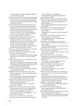http://www.opsi.gov.uk/Acts/Acts1998/ukpga\_19980029\_e  $n_1$  [Accessed 8<sup>th</sup> June 2009]

Department of Health, 2005. *Research governance framework for health and social care: second edition* [online]. Available from: http://www.dh.gov.uk/en/Publicationsandstatistics/ Publications/PublicationsPolicyAndGuidance/DH\_4108962 [Accessed 8<sup>th</sup> June 2009]

*Directive 2001/20/EC of the European Parliament and of the Council on the approximation of the laws, regulations and administrative provisions of the Member States relating to the implementation of good clinical practice in the conduct of clinical trials on medicinal products for human use* ("Clinical Trials Directive"), 2001 [online]. Available from: http://www.eortc.be/Services/Doc/clinical-EU-directive-04-April-01.pdf [Accessed 8<sup>th</sup> June 2009]

*Directive 2005/28/EC laying down principles and detailed guidelines for good clinical practice as regards investigational medicinal products for human use, as well as the requirements for authorisation of the manufacturing or importation of such products* ("Good Clinical Practice Directive"), 2005 [online]. Available from: http://eurlex.europa.eu/LexUriServ/LexUriServ.do?uri=OJ:L:2005:091 :0013:0019:EN:PDF [Accessed 8th June 2009]

Eckstein, S., ed., 2003. *Manual for Research Ethics Committees*. Cambridge: Cambridge University Press.

Economic & Social Research Council, 2005. *Research Ethics Framework* [online]. Available from:

http://www.esrcsocietytoday.ac.uk/ESRCInfoCentre/Images /ESRC\_Re\_Ethics\_Frame\_tcm6-11291.pdf [Accessed 8<sup>th</sup>] June 2009]

Economic & Social Research Council, 2009. *Research Funding Guide* [online]. Available from:

http://www.esrcsocietytoday.ac.uk/ESRCInfoCentre/Images /ESRC%20Research%20Funding%20Guide%20July%2009 \_tcm6-9734.pdf [Accessed 20th July 2009]

*Employment Act 2002* [online]. Available from: http://www.opsi.gov.uk/acts/acts2002/ukpga\_20020022\_e

n\_1 [Accessed  $8^{\text{th}}$  June 2009] Engineering & Physical Sciences Research Council, 2006. *Guide to Good Practice in Science and Engineering Research* [online]. Available from:

http://www.epsrc.ac.uk/CMSWeb/Downloads/Other/Good PracticeGuideSciEngRes.pdf [Accessed 8<sup>th</sup> June 2009]

European Science Foundation, 2000. *ESF Science Policy Briefing 10: Good Scientific Practice in Research and Scholarship* [online]. Available from: http://www.esf.org/publications/policy-briefings.html [Accessed 8<sup>th</sup> June 2009]

European Science Foundation, 2008. *Stewards of Integrity. Institutional Approaches to Promote and Safeguard Good Research Practice in Europe* [online]. Available from: http://www.esf.org/nc/publications/corporatepublications.html?tx\_ccdamdl\_cart%5Badd%5D=17719 Accessed 8<sup>th</sup> June 2009]

Evans, I., Thornton, H., and Chalmers, I., 2006. *Testing Treatments: Better Research for Better Healthcare* [online].

London: The British Library. Available from: www.jameslindlibrary.org/pdf/testing-treatments.pdf [Accessed 8th June 2009]

Federation of American Societies for Experimental Biology, 2006. *Shared Responsibility, Individual Integrity: scientists addressing conflicts of interest in biomedical research* [online]. Available from:

http://opa.faseb.org/pdf/FASEB\_COI\_paper.pdf [Accessed 8<sup>th</sup> June 2009]

General Medical Council (2002). *Research: The Role and Responsibilities of Doctors* [online]. Available from: http://www.gmc-

uk.org/guidance/current/library/research.asp [Accessed 8th June 2009]

General Medical Council (2006). *Good Medical Practice* [online]. Available from: http://www.gmcuk.org/guidance/good\_medical\_practice/index.asp [Accessed  $8^{\text{th}}$  June 2009]

General Medical Council (2008). *Consent: patients and doctors making decisions together* [online]. Available from: http://www.gmc-

uk.org/guidance/ethical\_guidance/consent\_guidance/index .asp [Accessed 8<sup>th</sup> June 2009]

General Social Care Council, 2002. *Code of Practice for Social Care Workers* [online]. Available from: http://www.gscc.org.uk/codes/Get+copies+of+our+codes/ [Accessed 8th June 2009]

Goldsmiths, University of London, 2003. *Policy on Safeguarding Good Academic and Scientific Practice and Dealing with Allegations of Misconduct in Research* [online]. Available from:

http://www.gold.ac.uk/media/safeguarding-researchpractice.pdf [Accessed 8<sup>th</sup> June 2009]

*Guidance on the Operation of the Animals (Scientific Procedures) Act 1986* [online]. Available from: http://www.archive.officialdocuments.co.uk/document/hoc/321/321-00.htm

[Accessed 8<sup>th</sup> June 2009]

Home Office, 2005. *Code of Practice Part 1 - for the housing and care of animals used in scientific procedures* [online]. Available from:

http://scienceandresearch.homeoffice.gov.uk/animalresearch/publications-and-reference/publications/code-ofpractice/code-of-practice-housing care/?view=Standard  $\&$  pubID=428573 [Accessed 8<sup>th</sup> June 2009]

*Human Rights Act 1998* [online]. Available from: http://www.opsi.gov.uk/acts/acts1998/ukpga\_19980042\_e  $n_1$  [Accessed 8<sup>th</sup> June 2009]

*Human Tissue Act 2004* [online]. Available from: http://www.opsi.gov.uk/acts/acts2004/20040030.htm [Accessed 8<sup>th</sup> June 2009]

Imperial College London, 2006. *Guidelines for Proper Scientific Conduct in Research* [online]. Available from: http://www3.imperial.ac.uk/secretariat/policiesandpublicat ions/otherpolicies/properscientificconduct [Accessed 8<sup>th</sup> June 2009]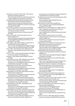Information Commissioner's Office, 2001. *Data Protection Audit Manual* [online]. Available from: http://www.ico.gov.uk/what\_we\_cover/data\_protection/yo ur\_legal\_obligations.aspx [Accessed 8th June 2009]

International Committee of Medical Journal Editors, 2008. *Uniform Requirements for Manuscripts Submitted to Biomedical Journals:Writing and Editing for Biomedical Publication* [online]. Available from: http://www.icmje.org/ [Accessed 8<sup>th</sup> June 2009]

Joint Consensus Conference on Misconduct in Biomedical Research, 1999. *Consensus Statement* [online]. Available from: http://www.rcpe.ac.uk/clinicalstandards/standards/misconduct\_99.php [Accessed 8th June 2009]

Keele University, 2007. *Code of Good Research Practice* [online]. Available from: http://www.keele.ac.uk/research/researchsupport/downloa ds/Code%20of%20Good%20Research%20Practice.doc [Accessed 8<sup>th</sup> June 2009]

King's College London, 2008. *Guidelines on Good Practice in Academic Research* [online]. Available from: http://www.kcl.ac.uk/college/policyzone/attachments/goo d\_practice\_May\_08\_FINAL.pdf [Accessed 8<sup>th</sup> June 2009]

Lock, S., Wells, F. and Farthing, M. (eds.), 2008. *Fraud and Misconduct in Biomedical Research Fourth Edition.* London: RSM Press.

Macrina, F., 2005. *Scientific Integrity Third Edition*. Washington DC: American Society for Microbiology Press.

McFarlane, B., 2009. *Researching with Integrity*. New York: Routledge.

Medical Research Council, 1998. *Guidelines for Good Clinical Practice in Clinical Trials* [online]. Available from: http://www.mrc.ac.uk/Utilities/Documentrecord/index.htm ?d=MRC002416 [Accessed 8<sup>th</sup> June 2009]

Medical Research Council, 2000. *Personal Information in Medical Research* [online]. Available from: http://www.mrc.ac.uk/Utilities/Documentrecord/index.htm ?d=MRC002452 [Accessed 8<sup>th</sup> June 2009]

Medical Research Council, 2004. *Medical Research Involving Children* [online]. Available from: http://www.mrc.ac.uk/Utilities/Documentrecord/index.htm

?d=MRC002430 [Accessed  $8<sup>th</sup>$  June 2009]

Medical Research Council, 2004. *Research Involving Human Participants in Developing Societies* [online]. Available from: http://www.mrc.ac.uk/Utilities/Documentrecord/index.htm ?d=MRC002461 [Accessed  $8<sup>th</sup>$  June 2009]

Medical Research Council, 2005. *Good Research Practice* [online]. Available from: http://www.mrc.ac.uk/Utilities/Documentrecord/index.htm ?d=MRC002415 [Accessed 8<sup>th</sup> June 2009]

Medical Research Council, 2007. *Principles for Access to, and Use of, MRC Funded Research Data* [online. Available from: http://www.mrc.ac.uk/Utilities/Documentrecord/index.htm ?d=MRC003759 [Accessed 8<sup>th</sup> June 2009]

Medical Research Council, 2008. *Responsibility in the Use of Animals in Medical Research* [online]. Available from:

http://www.mrc.ac.uk/Utilities/Documentrecord/index.htm ?d=MRC001897 [Accessed 8<sup>th</sup> June 2009]

*The Medicines for Human Use (Clinical Trials) Regulations 2004* [online]. Available from: http://www.opsi.gov.uk/si/si2004/20041031.htm [Accessed 8<sup>th</sup> June 2009]

*Mental Capacity Act 2005* [online]. Available from: http://www.opsi.gov.uk/acts/acts2005/20050009.htm [Accessed 8<sup>th</sup> June 2009]

Missenden Centre for the Development of Higher Education, 2002. *The Missenden Code of Practice for Ethics and Accountability* [online]. Available from: www.missendencentre.co.uk/docs/MissCode.pdf [Accessed 8<sup>th</sup> June 2009]

National Health and Medical Research Council, 2007. *National Statement on Ethical Conduct in Human Research* [online]. Available from: http://nhmrc.gov.au/publications/synopses/e72syn.htm [Accessed 8th June 2009]

National Health Service Research and Development Forum, 2008. *Research Governance Documentation and Information Guide* [online]. Available from: http://www.rdforum.nhs.uk/workgroups/primary/pcinfogui de/introduction.htm [Accessed 8<sup>th</sup> June 2009]

National Research Ethics Service, 2007. *Guidance for Applicants to the National Research Ethics Service* [online]. Available from:

http://www.nres.npsa.nhs.uk/applications/guidance/#gcpdir [Accessed 8th June 2009]

Natural Environment Research Council, 2005. *Ethics Policy* [online]. Available from: http://www.nerc.ac.uk/publications/corporate/documents/

ethics\_policy\_leaflet.pdf [Accessed 8th June 2009]

Organisation for Economic Co-Operation and Development, 2007. *OECD Global Science Forum: Best Practices for Ensuring Scientific Integrity and Preventing Misconduct* [online]. Available from: http://www.oecd.org/dataoecd/37/17/40188303.pdf

[Accessed 8th June 2009]

*Public Interest Disclosure Act 1998* [online]. Available from: http://www.opsi.gov.uk/ACTS/acts1998/19980023.htm [Accessed 8<sup>th</sup> June 2009]

Queen Mary, University of London, 2003. *Guidelines on Good Practice in Research* [online]. Available from: http://www.qmul.ac.uk/corp\_docs/research/researchGoodP ractice.html [Accessed 8<sup>th</sup> June 2009]

- Queen's University Belfast, 2003. *Code of Good Conduct in Research* [online]. Available from: http://www.qub.ac.uk/rrs/webpages/researchgovernance.htm [Accessed 8th June 2009]
- Research Assessment Exercise, 2005. *RAE 2008 Guidance on Submissions* [online]. Available from: http://www.rae.ac.uk/pubs/2005/03/ [Accessed 8<sup>th</sup> June 2009]
- Research Councils UK, 1998. *Safeguarding good scientific practice: A joint statement by the Director General of the*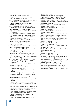*Research Councils and the Chief Executives of the UK Research Councils* [online]. Available from: http://www.ukoln.ac.uk/projects/ebank-uk/docs/scientificpractice.doc [Accessed 8th June 2009]

- Research Councils UK, 2008.*Terms and Conditions of Research Council fEC Grants* [online]. Available from: http://www.rcuk.ac.uk/aboutrcuk/efficiency/tcfec [Accessed 8th June 2009]
- Research Councils UK, 2009. *RCUK Policy and Code of Conduct on the Governance of Good Research Conduct (post-consultation draft)* [online]. Available from: http://www.rcuk.ac.uk/review/grc/default.htm [Accessed 20<sup>th</sup> July 2009]
- Research Information Network, 2008. *Stewardship of digital research data: a framework of principles and guidelines* [online]. Available from: http://www.rin.ac.uk/dataprinciples [Accessed 8th June 2009]
- RESPECT Project, 2004. *RESPECT Code of Practice for Socio-Economic Research* [online]. Available from: http://www.respectproject.org/code/respect\_code.pdf [Accessed 8th June 2009]
- Science and Technology Facilities Council, 2009. *fEC Research Grants Handbook* [online]. Available from: http://www.stfc.ac.uk/rgh/PDFs/rghAll.pdf [Accessed 7th July 2009]
- Sheffield Hallam University, 2004. *Research ethics 2: Safeguarding good specific practice and dealing with allegations of misconduct in research* [online]. Available from: http://students.shu.ac.uk/rightsrules/resethics2.html [Accessed 8<sup>th</sup> June 2009]
- Smith R., 2000. What is research misconduct? *In:* C. White, ed., *The COPE Report 2000* [online]. London: BMJ Books. Available from: http://publicationethics.org/static/2000/2000pdf6.pdf
- [Accessed 8<sup>th</sup> June 2009] Social Research Association, 2003. *Ethical Guidelines* [online]. Available from: http://www.the
	- sra.org.uk/documents/pdfs/ethics03.pdf [Accessed 8th June 2009]
- Steneck, N. H., 2007. *Office of Research Integrity Introduction to the Responsible Conduct of Research Revised Edition* [online]. Washington DC: United States Department of Health and Human Services. Available from: http://ori.dhhs.gov/documents/rcrintro.pdf [Accessed 8th June 2009]
- UK Research Integrity Office, 2008. *Procedure for the Investigation of Misconduct in Research* [online]. Available from:

http://www.ukrio.org/resources/UKRIO%20Procedure%20f or%20the%20Investigation%20of%20Misconduct%20in %20Research.pdf [Accessed 8<sup>th</sup> June 2009]

University College London, 2008. *Guidelines for Responsible Practice in Research* [online]. Available from: http://www.ucl.ac.uk/academic-manual/part-e/e20 [Accessed 8<sup>th</sup> June 2009]

University of Cambridge, 2008. *Good Research Practice*

[online]. Available from:

http://www.rsd.cam.ac.uk/documents/research/ Good\_Research\_Practice.pdf [Accessed 8<sup>th</sup> June 2009]

- University of Edinburgh, 2002. *Code of Good Practice in Research* [online]. Available from: http://www.researchinnovation.ed.ac.uk/information/goodresearchpractice.pdf [Accessed 8th June 2009]
- University of Glasgow, 2007. *Code of Good Practice in Research* [online]. Available from: http://www.gla.ac.uk/media/media\_46633\_en.pdf [Accessed 8<sup>th</sup> June 2009]
- University of Manchester, 2006. *Code of Good Research Conduct* [online]. Available from: http://www.researchsupport.manchester.ac.uk/Governance /J1276 Good Research.pdf [Accessed 8<sup>th</sup> June 2009]
- University of Oxford, 2007. *Academic Integrity in Research: Code of Practice and Procedure* [online]. Available from: http://www.admin.ox.ac.uk/ps/staff/codes/air.shtml [Accessed 8<sup>th</sup> June 2009]
- University of Sheffield, 2003. *Good Research Practice Standards* [online]. Available from: http://www.shef.ac.uk/content/1/c6/07/20/99/GRPcollate d.pdf [Accessed 8th June 2009]
- University of Sussex, 2000. *Code of Practice for Research* [online]. Available from: http://www.sussex.ac.uk/res/documents/code.pdf [Accessed 8<sup>th</sup> June 2009]
- Wellcome Trust, 2005. *Guidelines on Good Research Practice, Including the Statement on the Handling of Allegations of Research Misconduct* [online]. Available from: http://www.wellcome.ac.uk/stellent/groups/corporatesite/ @policy\_communications/documents/web\_document/wtd 002754.pdf [Accessed 8<sup>th</sup> June 2009]
- World Medical Association, 2000. *World Medical Association Declaration of Helsinki: Ethical Principles for Medical Research Involving Human Subjects* [online]. Available from: http://www.wma.net/e/policy/b3.htm [Accessed 8<sup>th</sup> June 2009]